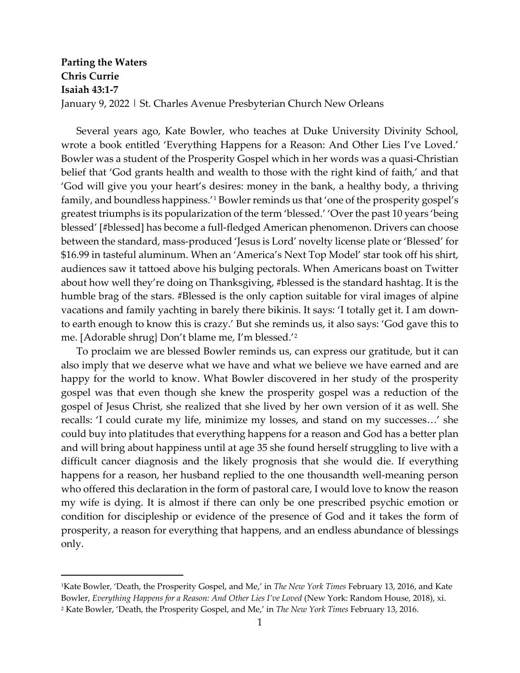## **Parting the Waters Chris Currie Isaiah 43:1-7** January 9, 2022 | St. Charles Avenue Presbyterian Church New Orleans

Several years ago, Kate Bowler, who teaches at Duke University Divinity School, wrote a book entitled 'Everything Happens for a Reason: And Other Lies I've Loved.' Bowler was a student of the Prosperity Gospel which in her words was a quasi-Christian belief that 'God grants health and wealth to those with the right kind of faith,' and that 'God will give you your heart's desires: money in the bank, a healthy body, a thriving family, and boundless happiness.'[1](#page-0-0) Bowler reminds us that 'one of the prosperity gospel's greatest triumphs is its popularization of the term 'blessed.' 'Over the past 10 years 'being blessed' [#blessed] has become a full-fledged American phenomenon. Drivers can choose between the standard, mass-produced 'Jesus is Lord' novelty license plate or 'Blessed' for \$16.99 in tasteful aluminum. When an 'America's Next Top Model' star took off his shirt, audiences saw it tattoed above his bulging pectorals. When Americans boast on Twitter about how well they're doing on Thanksgiving, #blessed is the standard hashtag. It is the humble brag of the stars. #Blessed is the only caption suitable for viral images of alpine vacations and family yachting in barely there bikinis. It says: 'I totally get it. I am downto earth enough to know this is crazy.' But she reminds us, it also says: 'God gave this to me. [Adorable shrug} Don't blame me, I'm blessed.'[2](#page-0-1)

To proclaim we are blessed Bowler reminds us, can express our gratitude, but it can also imply that we deserve what we have and what we believe we have earned and are happy for the world to know. What Bowler discovered in her study of the prosperity gospel was that even though she knew the prosperity gospel was a reduction of the gospel of Jesus Christ, she realized that she lived by her own version of it as well. She recalls: 'I could curate my life, minimize my losses, and stand on my successes…' she could buy into platitudes that everything happens for a reason and God has a better plan and will bring about happiness until at age 35 she found herself struggling to live with a difficult cancer diagnosis and the likely prognosis that she would die. If everything happens for a reason, her husband replied to the one thousandth well-meaning person who offered this declaration in the form of pastoral care, I would love to know the reason my wife is dying. It is almost if there can only be one prescribed psychic emotion or condition for discipleship or evidence of the presence of God and it takes the form of prosperity, a reason for everything that happens, and an endless abundance of blessings only.

<span id="page-0-0"></span><sup>1</sup>Kate Bowler, 'Death, the Prosperity Gospel, and Me,' in *The New York Times* February 13, 2016, and Kate Bowler, *Everything Happens for a Reason: And Other Lies I've Loved* (New York: Random House, 2018), xi.

<span id="page-0-1"></span><sup>2</sup> Kate Bowler, 'Death, the Prosperity Gospel, and Me,' in *The New York Times* February 13, 2016.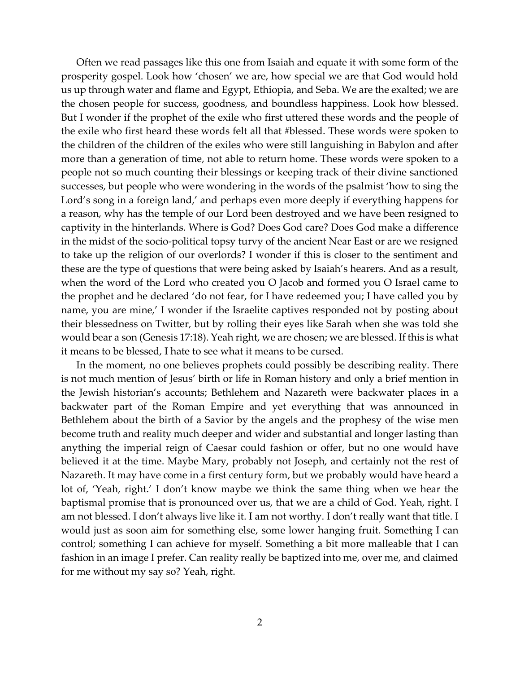Often we read passages like this one from Isaiah and equate it with some form of the prosperity gospel. Look how 'chosen' we are, how special we are that God would hold us up through water and flame and Egypt, Ethiopia, and Seba. We are the exalted; we are the chosen people for success, goodness, and boundless happiness. Look how blessed. But I wonder if the prophet of the exile who first uttered these words and the people of the exile who first heard these words felt all that #blessed. These words were spoken to the children of the children of the exiles who were still languishing in Babylon and after more than a generation of time, not able to return home. These words were spoken to a people not so much counting their blessings or keeping track of their divine sanctioned successes, but people who were wondering in the words of the psalmist 'how to sing the Lord's song in a foreign land,' and perhaps even more deeply if everything happens for a reason, why has the temple of our Lord been destroyed and we have been resigned to captivity in the hinterlands. Where is God? Does God care? Does God make a difference in the midst of the socio-political topsy turvy of the ancient Near East or are we resigned to take up the religion of our overlords? I wonder if this is closer to the sentiment and these are the type of questions that were being asked by Isaiah's hearers. And as a result, when the word of the Lord who created you O Jacob and formed you O Israel came to the prophet and he declared 'do not fear, for I have redeemed you; I have called you by name, you are mine,' I wonder if the Israelite captives responded not by posting about their blessedness on Twitter, but by rolling their eyes like Sarah when she was told she would bear a son (Genesis 17:18). Yeah right, we are chosen; we are blessed. If this is what it means to be blessed, I hate to see what it means to be cursed.

In the moment, no one believes prophets could possibly be describing reality. There is not much mention of Jesus' birth or life in Roman history and only a brief mention in the Jewish historian's accounts; Bethlehem and Nazareth were backwater places in a backwater part of the Roman Empire and yet everything that was announced in Bethlehem about the birth of a Savior by the angels and the prophesy of the wise men become truth and reality much deeper and wider and substantial and longer lasting than anything the imperial reign of Caesar could fashion or offer, but no one would have believed it at the time. Maybe Mary, probably not Joseph, and certainly not the rest of Nazareth. It may have come in a first century form, but we probably would have heard a lot of, 'Yeah, right.' I don't know maybe we think the same thing when we hear the baptismal promise that is pronounced over us, that we are a child of God. Yeah, right. I am not blessed. I don't always live like it. I am not worthy. I don't really want that title. I would just as soon aim for something else, some lower hanging fruit. Something I can control; something I can achieve for myself. Something a bit more malleable that I can fashion in an image I prefer. Can reality really be baptized into me, over me, and claimed for me without my say so? Yeah, right.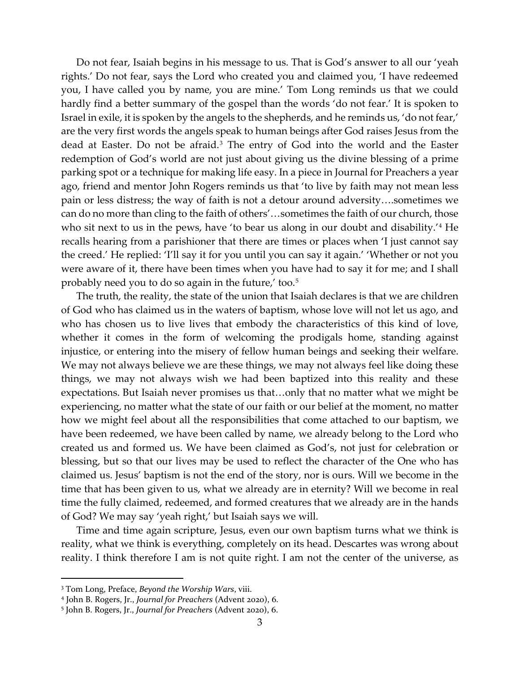Do not fear, Isaiah begins in his message to us. That is God's answer to all our 'yeah rights.' Do not fear, says the Lord who created you and claimed you, 'I have redeemed you, I have called you by name, you are mine.' Tom Long reminds us that we could hardly find a better summary of the gospel than the words 'do not fear.' It is spoken to Israel in exile, it is spoken by the angels to the shepherds, and he reminds us, 'do not fear,' are the very first words the angels speak to human beings after God raises Jesus from the dead at Easter. Do not be afraid.[3](#page-2-0) The entry of God into the world and the Easter redemption of God's world are not just about giving us the divine blessing of a prime parking spot or a technique for making life easy. In a piece in Journal for Preachers a year ago, friend and mentor John Rogers reminds us that 'to live by faith may not mean less pain or less distress; the way of faith is not a detour around adversity….sometimes we can do no more than cling to the faith of others'…sometimes the faith of our church, those who sit next to us in the pews, have 'to bear us along in our doubt and disability.'<sup>[4](#page-2-1)</sup> He recalls hearing from a parishioner that there are times or places when 'I just cannot say the creed.' He replied: 'I'll say it for you until you can say it again.' 'Whether or not you were aware of it, there have been times when you have had to say it for me; and I shall probably need you to do so again in the future,' too.[5](#page-2-2)

The truth, the reality, the state of the union that Isaiah declares is that we are children of God who has claimed us in the waters of baptism, whose love will not let us ago, and who has chosen us to live lives that embody the characteristics of this kind of love, whether it comes in the form of welcoming the prodigals home, standing against injustice, or entering into the misery of fellow human beings and seeking their welfare. We may not always believe we are these things, we may not always feel like doing these things, we may not always wish we had been baptized into this reality and these expectations. But Isaiah never promises us that…only that no matter what we might be experiencing, no matter what the state of our faith or our belief at the moment, no matter how we might feel about all the responsibilities that come attached to our baptism, we have been redeemed, we have been called by name, we already belong to the Lord who created us and formed us. We have been claimed as God's, not just for celebration or blessing, but so that our lives may be used to reflect the character of the One who has claimed us. Jesus' baptism is not the end of the story, nor is ours. Will we become in the time that has been given to us, what we already are in eternity? Will we become in real time the fully claimed, redeemed, and formed creatures that we already are in the hands of God? We may say 'yeah right,' but Isaiah says we will.

Time and time again scripture, Jesus, even our own baptism turns what we think is reality, what we think is everything, completely on its head. Descartes was wrong about reality. I think therefore I am is not quite right. I am not the center of the universe, as

<span id="page-2-0"></span><sup>3</sup> Tom Long, Preface, *Beyond the Worship Wars*, viii.

<span id="page-2-1"></span><sup>4</sup> John B. Rogers, Jr., *Journal for Preachers* (Advent 2020), 6.

<span id="page-2-2"></span><sup>5</sup> John B. Rogers, Jr., *Journal for Preachers* (Advent 2020), 6.